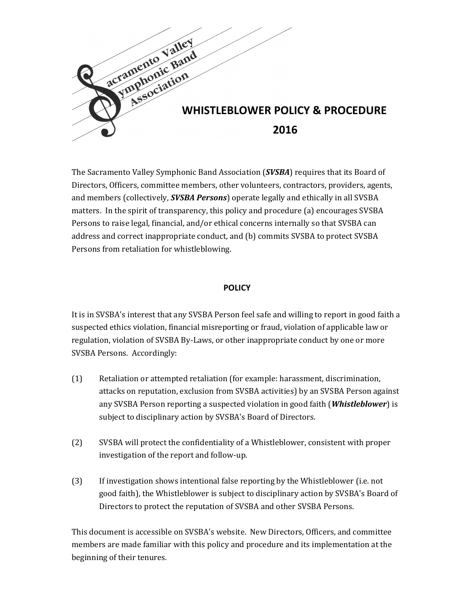

The Sacramento Valley Symphonic Band Association (*SVSBA*) requires that its Board of Directors, Officers, committee members, other volunteers, contractors, providers, agents, and members (collectively, *SVSBA Persons*) operate legally and ethically in all SVSBA matters. In the spirit of transparency, this policy and procedure (a) encourages SVSBA Persons to raise legal, financial, and/or ethical concerns internally so that SVSBA can address and correct inappropriate conduct, and (b) commits SVSBA to protect SVSBA Persons from retaliation for whistleblowing.

## **POLICY**

It is in SVSBA's interest that any SVSBA Person feel safe and willing to report in good faith a suspected ethics violation, financial misreporting or fraud, violation of applicable law or regulation, violation of SVSBA By-Laws, or other inappropriate conduct by one or more SVSBA Persons. Accordingly:

- (1) Retaliation or attempted retaliation (for example: harassment, discrimination, attacks on reputation, exclusion from SVSBA activities) by an SVSBA Person against any SVSBA Person reporting a suspected violation in good faith (*Whistleblower*) is subject to disciplinary action by SVSBA's Board of Directors.
- (2) SVSBA will protect the confidentiality of a Whistleblower, consistent with proper investigation of the report and follow-up.
- (3) If investigation shows intentional false reporting by the Whistleblower (i.e. not good faith), the Whistleblower is subject to disciplinary action by SVSBA's Board of Directors to protect the reputation of SVSBA and other SVSBA Persons.

This document is accessible on SVSBA's website. New Directors, Officers, and committee members are made familiar with this policy and procedure and its implementation at the beginning of their tenures.